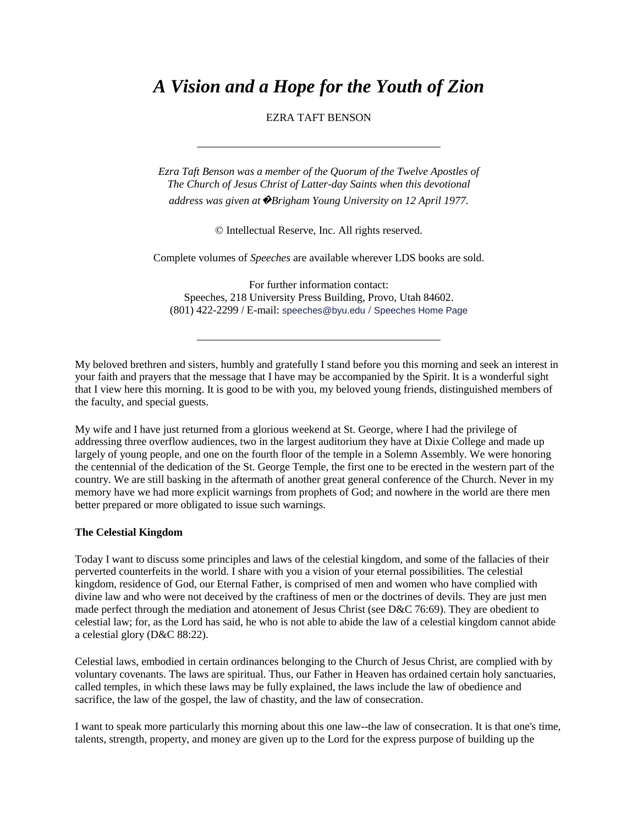# *A Vision and a Hope for the Youth of Zion*

## EZRA TAFT BENSON

*Ezra Taft Benson was a member of the Quorum of the Twelve Apostles of The Church of Jesus Christ of Latter-day Saints when this devotional address was given at*�*Brigham Young University on 12 April 1977.*

© Intellectual Reserve, Inc. All rights reserved.

Complete volumes of *Speeches* are available wherever LDS books are sold.

For further information contact: Speeches, 218 University Press Building, Provo, Utah 84602. (801) 422-2299 / E-mail: [speeches@byu.edu](mailto:speeches@byu.edu) / [Speeches Home Page](http://speeches.byu.edu/)

My beloved brethren and sisters, humbly and gratefully I stand before you this morning and seek an interest in your faith and prayers that the message that I have may be accompanied by the Spirit. It is a wonderful sight that I view here this morning. It is good to be with you, my beloved young friends, distinguished members of the faculty, and special guests.

My wife and I have just returned from a glorious weekend at St. George, where I had the privilege of addressing three overflow audiences, two in the largest auditorium they have at Dixie College and made up largely of young people, and one on the fourth floor of the temple in a Solemn Assembly. We were honoring the centennial of the dedication of the St. George Temple, the first one to be erected in the western part of the country. We are still basking in the aftermath of another great general conference of the Church. Never in my memory have we had more explicit warnings from prophets of God; and nowhere in the world are there men better prepared or more obligated to issue such warnings.

## **The Celestial Kingdom**

Today I want to discuss some principles and laws of the celestial kingdom, and some of the fallacies of their perverted counterfeits in the world. I share with you a vision of your eternal possibilities. The celestial kingdom, residence of God, our Eternal Father, is comprised of men and women who have complied with divine law and who were not deceived by the craftiness of men or the doctrines of devils. They are just men made perfect through the mediation and atonement of Jesus Christ (see D&C 76:69). They are obedient to celestial law; for, as the Lord has said, he who is not able to abide the law of a celestial kingdom cannot abide a celestial glory (D&C 88:22).

Celestial laws, embodied in certain ordinances belonging to the Church of Jesus Christ, are complied with by voluntary covenants. The laws are spiritual. Thus, our Father in Heaven has ordained certain holy sanctuaries, called temples, in which these laws may be fully explained, the laws include the law of obedience and sacrifice, the law of the gospel, the law of chastity, and the law of consecration.

I want to speak more particularly this morning about this one law--the law of consecration. It is that one's time, talents, strength, property, and money are given up to the Lord for the express purpose of building up the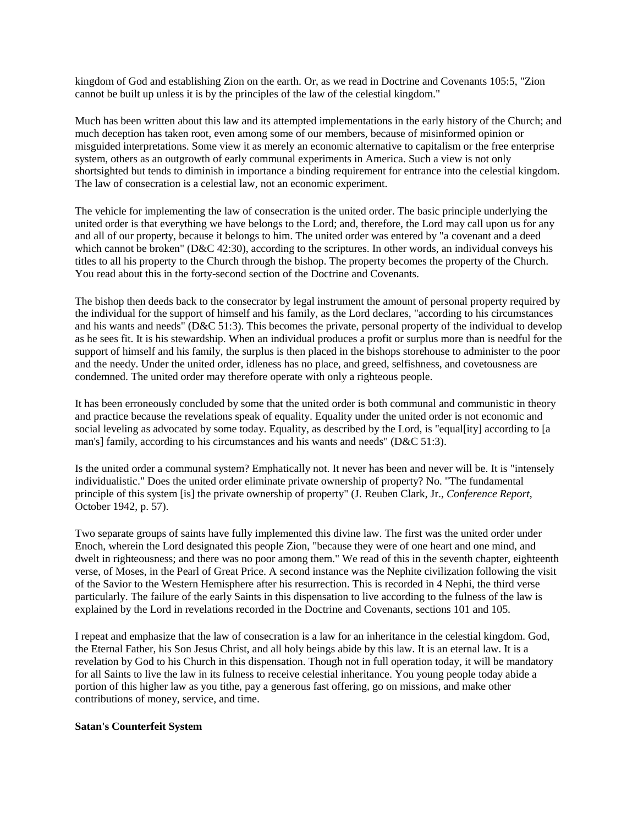kingdom of God and establishing Zion on the earth. Or, as we read in Doctrine and Covenants 105:5, "Zion cannot be built up unless it is by the principles of the law of the celestial kingdom."

Much has been written about this law and its attempted implementations in the early history of the Church; and much deception has taken root, even among some of our members, because of misinformed opinion or misguided interpretations. Some view it as merely an economic alternative to capitalism or the free enterprise system, others as an outgrowth of early communal experiments in America. Such a view is not only shortsighted but tends to diminish in importance a binding requirement for entrance into the celestial kingdom. The law of consecration is a celestial law, not an economic experiment.

The vehicle for implementing the law of consecration is the united order. The basic principle underlying the united order is that everything we have belongs to the Lord; and, therefore, the Lord may call upon us for any and all of our property, because it belongs to him. The united order was entered by "a covenant and a deed which cannot be broken" (D&C 42:30), according to the scriptures. In other words, an individual conveys his titles to all his property to the Church through the bishop. The property becomes the property of the Church. You read about this in the forty-second section of the Doctrine and Covenants.

The bishop then deeds back to the consecrator by legal instrument the amount of personal property required by the individual for the support of himself and his family, as the Lord declares, "according to his circumstances and his wants and needs" (D&C 51:3). This becomes the private, personal property of the individual to develop as he sees fit. It is his stewardship. When an individual produces a profit or surplus more than is needful for the support of himself and his family, the surplus is then placed in the bishops storehouse to administer to the poor and the needy. Under the united order, idleness has no place, and greed, selfishness, and covetousness are condemned. The united order may therefore operate with only a righteous people.

It has been erroneously concluded by some that the united order is both communal and communistic in theory and practice because the revelations speak of equality. Equality under the united order is not economic and social leveling as advocated by some today. Equality, as described by the Lord, is "equal[ity] according to [a man's] family, according to his circumstances and his wants and needs" (D&C 51:3).

Is the united order a communal system? Emphatically not. It never has been and never will be. It is "intensely individualistic." Does the united order eliminate private ownership of property? No. "The fundamental principle of this system [is] the private ownership of property" (J. Reuben Clark, Jr., *Conference Report,* October 1942, p. 57).

Two separate groups of saints have fully implemented this divine law. The first was the united order under Enoch, wherein the Lord designated this people Zion, "because they were of one heart and one mind, and dwelt in righteousness; and there was no poor among them." We read of this in the seventh chapter, eighteenth verse, of Moses, in the Pearl of Great Price. A second instance was the Nephite civilization following the visit of the Savior to the Western Hemisphere after his resurrection. This is recorded in 4 Nephi, the third verse particularly. The failure of the early Saints in this dispensation to live according to the fulness of the law is explained by the Lord in revelations recorded in the Doctrine and Covenants, sections 101 and 105.

I repeat and emphasize that the law of consecration is a law for an inheritance in the celestial kingdom. God, the Eternal Father, his Son Jesus Christ, and all holy beings abide by this law. It is an eternal law. It is a revelation by God to his Church in this dispensation. Though not in full operation today, it will be mandatory for all Saints to live the law in its fulness to receive celestial inheritance. You young people today abide a portion of this higher law as you tithe, pay a generous fast offering, go on missions, and make other contributions of money, service, and time.

## **Satan's Counterfeit System**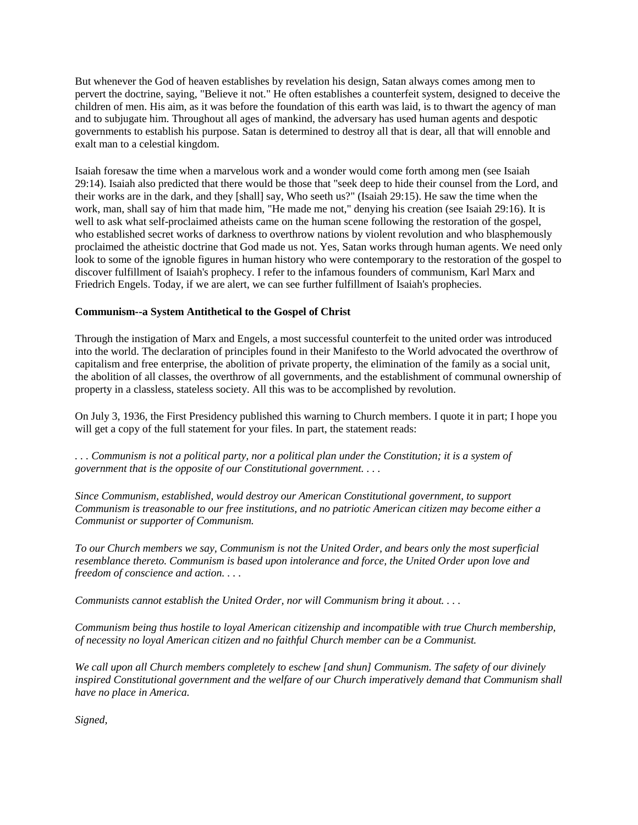But whenever the God of heaven establishes by revelation his design, Satan always comes among men to pervert the doctrine, saying, "Believe it not." He often establishes a counterfeit system, designed to deceive the children of men. His aim, as it was before the foundation of this earth was laid, is to thwart the agency of man and to subjugate him. Throughout all ages of mankind, the adversary has used human agents and despotic governments to establish his purpose. Satan is determined to destroy all that is dear, all that will ennoble and exalt man to a celestial kingdom.

Isaiah foresaw the time when a marvelous work and a wonder would come forth among men (see Isaiah 29:14). Isaiah also predicted that there would be those that "seek deep to hide their counsel from the Lord, and their works are in the dark, and they [shall] say, Who seeth us?" (Isaiah 29:15). He saw the time when the work, man, shall say of him that made him, "He made me not," denying his creation (see Isaiah 29:16). It is well to ask what self-proclaimed atheists came on the human scene following the restoration of the gospel, who established secret works of darkness to overthrow nations by violent revolution and who blasphemously proclaimed the atheistic doctrine that God made us not. Yes, Satan works through human agents. We need only look to some of the ignoble figures in human history who were contemporary to the restoration of the gospel to discover fulfillment of Isaiah's prophecy. I refer to the infamous founders of communism, Karl Marx and Friedrich Engels. Today, if we are alert, we can see further fulfillment of Isaiah's prophecies.

## **Communism--a System Antithetical to the Gospel of Christ**

Through the instigation of Marx and Engels, a most successful counterfeit to the united order was introduced into the world. The declaration of principles found in their Manifesto to the World advocated the overthrow of capitalism and free enterprise, the abolition of private property, the elimination of the family as a social unit, the abolition of all classes, the overthrow of all governments, and the establishment of communal ownership of property in a classless, stateless society. All this was to be accomplished by revolution.

On July 3, 1936, the First Presidency published this warning to Church members. I quote it in part; I hope you will get a copy of the full statement for your files. In part, the statement reads:

*. . . Communism is not a political party, nor a political plan under the Constitution; it is a system of government that is the opposite of our Constitutional government. . . .* 

*Since Communism, established, would destroy our American Constitutional government, to support Communism is treasonable to our free institutions, and no patriotic American citizen may become either a Communist or supporter of Communism.*

*To our Church members we say, Communism is not the United Order, and bears only the most superficial resemblance thereto. Communism is based upon intolerance and force, the United Order upon love and freedom of conscience and action. . . .* 

*Communists cannot establish the United Order, nor will Communism bring it about. . . .* 

*Communism being thus hostile to loyal American citizenship and incompatible with true Church membership, of necessity no loyal American citizen and no faithful Church member can be a Communist.*

*We call upon all Church members completely to eschew [and shun] Communism. The safety of our divinely inspired Constitutional government and the welfare of our Church imperatively demand that Communism shall have no place in America.*

*Signed,*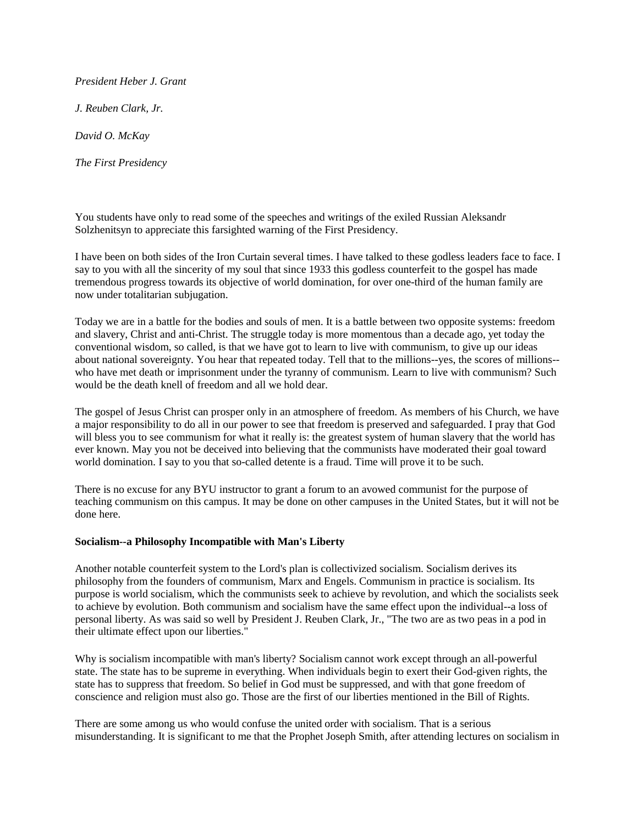*President Heber J. Grant*

*J. Reuben Clark, Jr.*

*David O. McKay*

*The First Presidency*

You students have only to read some of the speeches and writings of the exiled Russian Aleksandr Solzhenitsyn to appreciate this farsighted warning of the First Presidency.

I have been on both sides of the Iron Curtain several times. I have talked to these godless leaders face to face. I say to you with all the sincerity of my soul that since 1933 this godless counterfeit to the gospel has made tremendous progress towards its objective of world domination, for over one-third of the human family are now under totalitarian subjugation.

Today we are in a battle for the bodies and souls of men. It is a battle between two opposite systems: freedom and slavery, Christ and anti-Christ. The struggle today is more momentous than a decade ago, yet today the conventional wisdom, so called, is that we have got to learn to live with communism, to give up our ideas about national sovereignty. You hear that repeated today. Tell that to the millions--yes, the scores of millions- who have met death or imprisonment under the tyranny of communism. Learn to live with communism? Such would be the death knell of freedom and all we hold dear.

The gospel of Jesus Christ can prosper only in an atmosphere of freedom. As members of his Church, we have a major responsibility to do all in our power to see that freedom is preserved and safeguarded. I pray that God will bless you to see communism for what it really is: the greatest system of human slavery that the world has ever known. May you not be deceived into believing that the communists have moderated their goal toward world domination. I say to you that so-called detente is a fraud. Time will prove it to be such.

There is no excuse for any BYU instructor to grant a forum to an avowed communist for the purpose of teaching communism on this campus. It may be done on other campuses in the United States, but it will not be done here.

## **Socialism--a Philosophy Incompatible with Man's Liberty**

Another notable counterfeit system to the Lord's plan is collectivized socialism. Socialism derives its philosophy from the founders of communism, Marx and Engels. Communism in practice is socialism. Its purpose is world socialism, which the communists seek to achieve by revolution, and which the socialists seek to achieve by evolution. Both communism and socialism have the same effect upon the individual--a loss of personal liberty. As was said so well by President J. Reuben Clark, Jr., "The two are as two peas in a pod in their ultimate effect upon our liberties."

Why is socialism incompatible with man's liberty? Socialism cannot work except through an all-powerful state. The state has to be supreme in everything. When individuals begin to exert their God-given rights, the state has to suppress that freedom. So belief in God must be suppressed, and with that gone freedom of conscience and religion must also go. Those are the first of our liberties mentioned in the Bill of Rights.

There are some among us who would confuse the united order with socialism. That is a serious misunderstanding. It is significant to me that the Prophet Joseph Smith, after attending lectures on socialism in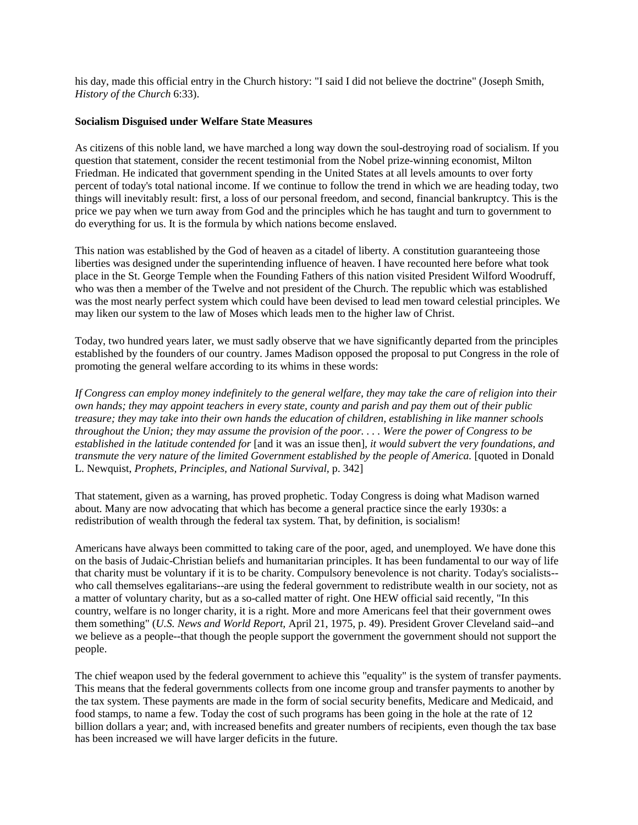his day, made this official entry in the Church history: "I said I did not believe the doctrine" (Joseph Smith, *History of the Church* 6:33).

## **Socialism Disguised under Welfare State Measures**

As citizens of this noble land, we have marched a long way down the soul-destroying road of socialism. If you question that statement, consider the recent testimonial from the Nobel prize-winning economist, Milton Friedman. He indicated that government spending in the United States at all levels amounts to over forty percent of today's total national income. If we continue to follow the trend in which we are heading today, two things will inevitably result: first, a loss of our personal freedom, and second, financial bankruptcy. This is the price we pay when we turn away from God and the principles which he has taught and turn to government to do everything for us. It is the formula by which nations become enslaved.

This nation was established by the God of heaven as a citadel of liberty. A constitution guaranteeing those liberties was designed under the superintending influence of heaven. I have recounted here before what took place in the St. George Temple when the Founding Fathers of this nation visited President Wilford Woodruff, who was then a member of the Twelve and not president of the Church. The republic which was established was the most nearly perfect system which could have been devised to lead men toward celestial principles. We may liken our system to the law of Moses which leads men to the higher law of Christ.

Today, two hundred years later, we must sadly observe that we have significantly departed from the principles established by the founders of our country. James Madison opposed the proposal to put Congress in the role of promoting the general welfare according to its whims in these words:

*If Congress can employ money indefinitely to the general welfare, they may take the care of religion into their own hands; they may appoint teachers in every state, county and parish and pay them out of their public treasure; they may take into their own hands the education of children, establishing in like manner schools throughout the Union; they may assume the provision of the poor. . . . Were the power of Congress to be established in the latitude contended for* [and it was an issue then]*, it would subvert the very foundations, and transmute the very nature of the limited Government established by the people of America.* [quoted in Donald L. Newquist, *Prophets, Principles, and National Survival,* p. 342]

That statement, given as a warning, has proved prophetic. Today Congress is doing what Madison warned about. Many are now advocating that which has become a general practice since the early 1930s: a redistribution of wealth through the federal tax system. That, by definition, is socialism!

Americans have always been committed to taking care of the poor, aged, and unemployed. We have done this on the basis of Judaic-Christian beliefs and humanitarian principles. It has been fundamental to our way of life that charity must be voluntary if it is to be charity. Compulsory benevolence is not charity. Today's socialists- who call themselves egalitarians--are using the federal government to redistribute wealth in our society, not as a matter of voluntary charity, but as a so-called matter of right. One HEW official said recently, "In this country, welfare is no longer charity, it is a right. More and more Americans feel that their government owes them something" (*U.S. News and World Report,* April 21, 1975, p. 49). President Grover Cleveland said--and we believe as a people--that though the people support the government the government should not support the people.

The chief weapon used by the federal government to achieve this "equality" is the system of transfer payments. This means that the federal governments collects from one income group and transfer payments to another by the tax system. These payments are made in the form of social security benefits, Medicare and Medicaid, and food stamps, to name a few. Today the cost of such programs has been going in the hole at the rate of 12 billion dollars a year; and, with increased benefits and greater numbers of recipients, even though the tax base has been increased we will have larger deficits in the future.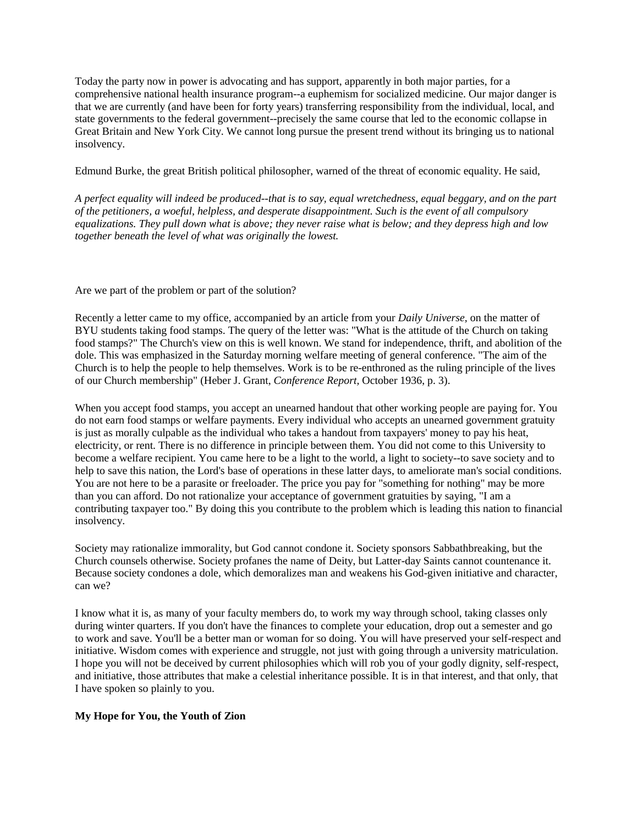Today the party now in power is advocating and has support, apparently in both major parties, for a comprehensive national health insurance program--a euphemism for socialized medicine. Our major danger is that we are currently (and have been for forty years) transferring responsibility from the individual, local, and state governments to the federal government--precisely the same course that led to the economic collapse in Great Britain and New York City. We cannot long pursue the present trend without its bringing us to national insolvency.

Edmund Burke, the great British political philosopher, warned of the threat of economic equality. He said,

*A perfect equality will indeed be produced--that is to say, equal wretchedness, equal beggary, and on the part of the petitioners, a woeful, helpless, and desperate disappointment. Such is the event of all compulsory equalizations. They pull down what is above; they never raise what is below; and they depress high and low together beneath the level of what was originally the lowest.*

Are we part of the problem or part of the solution?

Recently a letter came to my office, accompanied by an article from your *Daily Universe,* on the matter of BYU students taking food stamps. The query of the letter was: "What is the attitude of the Church on taking food stamps?" The Church's view on this is well known. We stand for independence, thrift, and abolition of the dole. This was emphasized in the Saturday morning welfare meeting of general conference. "The aim of the Church is to help the people to help themselves. Work is to be re-enthroned as the ruling principle of the lives of our Church membership" (Heber J. Grant, *Conference Report,* October 1936, p. 3).

When you accept food stamps, you accept an unearned handout that other working people are paying for. You do not earn food stamps or welfare payments. Every individual who accepts an unearned government gratuity is just as morally culpable as the individual who takes a handout from taxpayers' money to pay his heat, electricity, or rent. There is no difference in principle between them. You did not come to this University to become a welfare recipient. You came here to be a light to the world, a light to society--to save society and to help to save this nation, the Lord's base of operations in these latter days, to ameliorate man's social conditions. You are not here to be a parasite or freeloader. The price you pay for "something for nothing" may be more than you can afford. Do not rationalize your acceptance of government gratuities by saying, "I am a contributing taxpayer too." By doing this you contribute to the problem which is leading this nation to financial insolvency.

Society may rationalize immorality, but God cannot condone it. Society sponsors Sabbathbreaking, but the Church counsels otherwise. Society profanes the name of Deity, but Latter-day Saints cannot countenance it. Because society condones a dole, which demoralizes man and weakens his God-given initiative and character, can we?

I know what it is, as many of your faculty members do, to work my way through school, taking classes only during winter quarters. If you don't have the finances to complete your education, drop out a semester and go to work and save. You'll be a better man or woman for so doing. You will have preserved your self-respect and initiative. Wisdom comes with experience and struggle, not just with going through a university matriculation. I hope you will not be deceived by current philosophies which will rob you of your godly dignity, self-respect, and initiative, those attributes that make a celestial inheritance possible. It is in that interest, and that only, that I have spoken so plainly to you.

## **My Hope for You, the Youth of Zion**